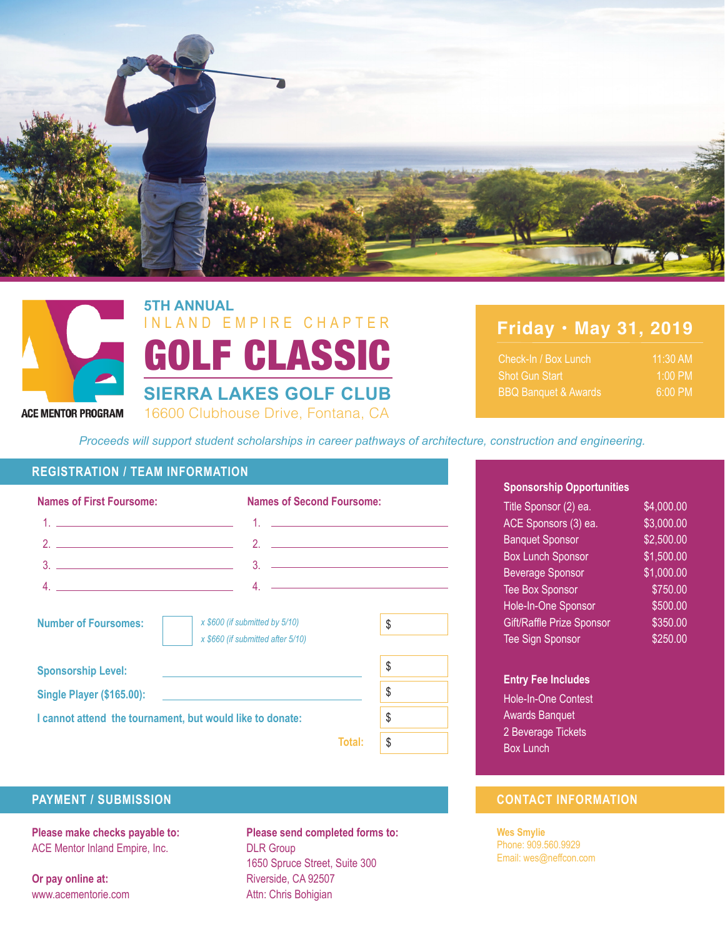



16600 Clubhouse Drive, Fontana, CA GOLF CLASSIC **5TH ANNUAL SIERRA LAKES GOLF CLUB** INLAND EMPIRE CHAPTER

# **Friday • May 31, 2019**

| Check-In / Box Lunch            | $11:30$ AM        |  |
|---------------------------------|-------------------|--|
| <b>Shot Gun Start</b>           | $1:00 \text{ PM}$ |  |
| <b>BBQ Banquet &amp; Awards</b> | $6:00 \text{ PM}$ |  |

*Proceeds will support student scholarships in career pathways of architecture, construction and engineering.*

#### **REGISTRATION / TEAM INFORMATION**

| <b>Names of First Foursome:</b>                                                                    | <b>Names of Second Foursome:</b>  |    |
|----------------------------------------------------------------------------------------------------|-----------------------------------|----|
| <u>1. ______________________________</u> __                                                        | 1. <u>_______________________</u> |    |
|                                                                                                    |                                   |    |
|                                                                                                    |                                   |    |
|                                                                                                    |                                   |    |
| <b>Number of Foursomes:</b><br>x \$600 (if submitted by 5/10)<br>x \$660 (if submitted after 5/10) |                                   | \$ |
| <b>Sponsorship Level:</b>                                                                          |                                   | \$ |
|                                                                                                    |                                   | \$ |
| I cannot attend the tournament, but would like to donate:                                          | \$                                |    |
|                                                                                                    | Total:                            | \$ |

#### **Sponsorship Opportunities**

| Title Sponsor (2) ea.     | $\overline{84,000.00}$ |
|---------------------------|------------------------|
| ACE Sponsors (3) ea.      | \$3,000.00             |
| <b>Banquet Sponsor</b>    | $\overline{$2,500.00}$ |
| <b>Box Lunch Sponsor</b>  | \$1,500.00             |
| <b>Beverage Sponsor</b>   | \$1,000.00             |
| <b>Tee Box Sponsor</b>    | \$750.00               |
| Hole-In-One Sponsor       | \$500.00               |
| Gift/Raffle Prize Sponsor | \$350.00               |
| <b>Tee Sign Sponsor</b>   | \$250.00               |

#### **Entry Fee Includes**

Hole-In-One Contest Awards Banquet 2 Beverage Tickets Box Lunch

### **PAYMENT / SUBMISSION CONTACT INFORMATION**

**Wes Smylie** Phone: 909.560.9929 Email: wes@neffcon.com

**Please make checks payable to:** ACE Mentor Inland Empire, Inc.

**Or pay online at:** www.acementorie.com **Please send completed forms to:** DLR Group 1650 Spruce Street, Suite 300 Riverside, CA 92507 Attn: Chris Bohigian